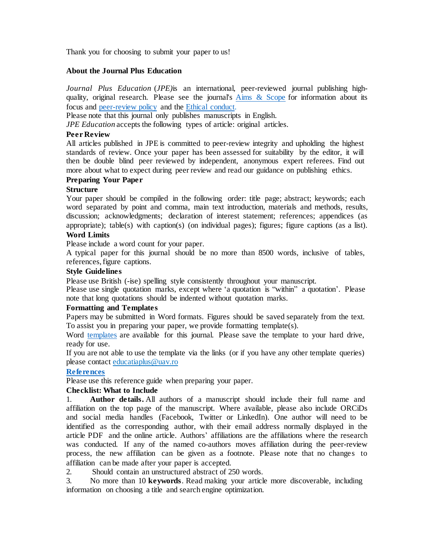Thank you for choosing to submit your paper to us!

### **About the Journal Plus Education**

*Journal Plus Education* (*JPE)*is an international, peer-reviewed journal publishing highquality, original research. Please see the journal's Aims & [Scope](https://cdn.uav.ro/documente/Universitate/Reviste/JEP/Aim-and-scope.pdf) for information about its focus and [peer-review](https://cdn.uav.ro/documente/Universitate/Reviste/JEP/The-JPE-review.pdf) policy and the Ethical [conduct.](https://cdn.uav.ro/documente/Universitate/Reviste/JEP/Etichal-conduct.pdf)

Please note that this journal only publishes manuscripts in English.

*JPE Education* accepts the following types of article: original articles.

## **Peer Review**

All articles published in JPE is committed to peer-review integrity and upholding the highest standards of review. Once your paper has been assessed for suitability by the editor, it will then be double blind peer reviewed by independent, anonymous expert referees. Find out more about what to expect during peer review and read our guidance on publishing ethics.

# **Preparing Your Paper**

## **Structure**

Your paper should be compiled in the following order: title page; abstract; keywords; each word separated by point and comma, main text introduction, materials and methods, results, discussion; acknowledgments; declaration of interest statement; references; appendices (as appropriate); table(s) with caption(s) (on individual pages); figures; figure captions (as a list). **Word Limits**

Please include a word count for your paper.

A typical paper for this journal should be no more than 8500 words, inclusive of tables, references, figure captions.

# **Style Guidelines**

Please use British (-ise) spelling style consistently throughout your manuscript.

Please use single quotation marks, except where 'a quotation is "within" a quotation'. Please note that long quotations should be indented without quotation marks.

## **Formatting and Templates**

Papers may be submitted in Word formats. Figures should be saved separately from the text. To assist you in preparing your paper, we provide formatting template(s).

Word [templates](https://cdn.uav.ro/documente/Universitate/Reviste/JEP/TEMPLATE.pdf) are available for this journal. Please save the template to your hard drive, ready for use.

If you are not able to use the template via the links (or if you have any other template queries) please contact [educatiaplus@uav.ro](mailto:educatiaplus@uav.ro)

## **[References](https://cdn.uav.ro/documente/Universitate/Reviste/JEP/Journal-Plus-Education-Standard-Reference-Style-APA.pdf)**

Please use this reference guide when preparing your paper.

## **Checklist: What to Include**

1. **Author details.** All authors of a manuscript should include their full name and affiliation on the top page of the manuscript. Where available, please also include ORCiDs and social media handles (Facebook, Twitter or LinkedIn). One author will need to be identified as the corresponding author, with their email address normally displayed in the article PDF and the online article. Authors' affiliations are the affiliations where the research was conducted. If any of the named co-authors moves affiliation during the peer-review process, the new affiliation can be given as a footnote. Please note that no changes to affiliation can be made after your paper is accepted.

2. Should contain an unstructured abstract of 250 words.

3. No more than 10 **keywords**. Read making your article more discoverable, including information on choosing a title and search engine optimization.